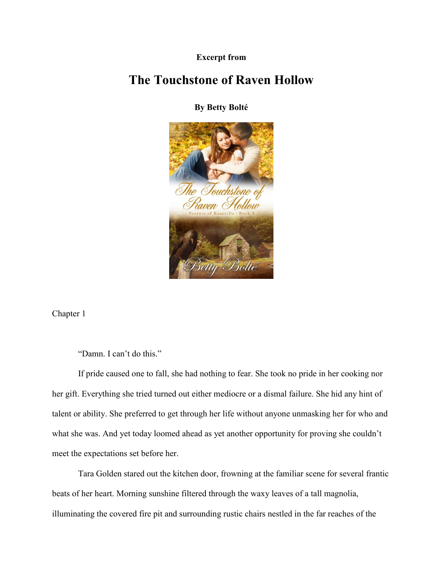**Excerpt from**

## **The Touchstone of Raven Hollow**

**By Betty Bolté**



Chapter 1

"Damn. I can't do this."

If pride caused one to fall, she had nothing to fear. She took no pride in her cooking nor her gift. Everything she tried turned out either mediocre or a dismal failure. She hid any hint of talent or ability. She preferred to get through her life without anyone unmasking her for who and what she was. And yet today loomed ahead as yet another opportunity for proving she couldn't meet the expectations set before her.

Tara Golden stared out the kitchen door, frowning at the familiar scene for several frantic beats of her heart. Morning sunshine filtered through the waxy leaves of a tall magnolia, illuminating the covered fire pit and surrounding rustic chairs nestled in the far reaches of the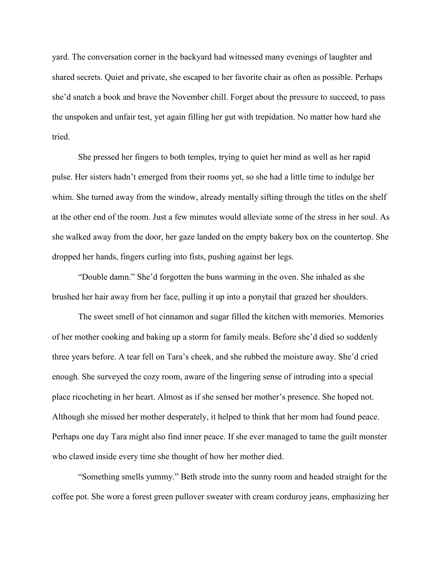yard. The conversation corner in the backyard had witnessed many evenings of laughter and shared secrets. Quiet and private, she escaped to her favorite chair as often as possible. Perhaps she'd snatch a book and brave the November chill. Forget about the pressure to succeed, to pass the unspoken and unfair test, yet again filling her gut with trepidation. No matter how hard she tried.

She pressed her fingers to both temples, trying to quiet her mind as well as her rapid pulse. Her sisters hadn't emerged from their rooms yet, so she had a little time to indulge her whim. She turned away from the window, already mentally sifting through the titles on the shelf at the other end of the room. Just a few minutes would alleviate some of the stress in her soul. As she walked away from the door, her gaze landed on the empty bakery box on the countertop. She dropped her hands, fingers curling into fists, pushing against her legs.

"Double damn." She'd forgotten the buns warming in the oven. She inhaled as she brushed her hair away from her face, pulling it up into a ponytail that grazed her shoulders.

The sweet smell of hot cinnamon and sugar filled the kitchen with memories. Memories of her mother cooking and baking up a storm for family meals. Before she'd died so suddenly three years before. A tear fell on Tara's cheek, and she rubbed the moisture away. She'd cried enough. She surveyed the cozy room, aware of the lingering sense of intruding into a special place ricocheting in her heart. Almost as if she sensed her mother's presence. She hoped not. Although she missed her mother desperately, it helped to think that her mom had found peace. Perhaps one day Tara might also find inner peace. If she ever managed to tame the guilt monster who clawed inside every time she thought of how her mother died.

"Something smells yummy." Beth strode into the sunny room and headed straight for the coffee pot. She wore a forest green pullover sweater with cream corduroy jeans, emphasizing her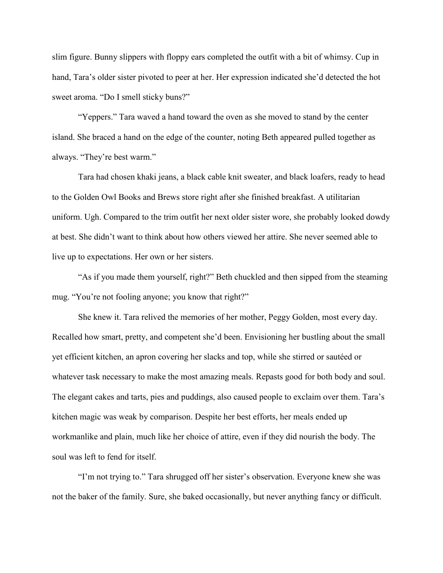slim figure. Bunny slippers with floppy ears completed the outfit with a bit of whimsy. Cup in hand, Tara's older sister pivoted to peer at her. Her expression indicated she'd detected the hot sweet aroma. "Do I smell sticky buns?"

"Yeppers." Tara waved a hand toward the oven as she moved to stand by the center island. She braced a hand on the edge of the counter, noting Beth appeared pulled together as always. "They're best warm."

Tara had chosen khaki jeans, a black cable knit sweater, and black loafers, ready to head to the Golden Owl Books and Brews store right after she finished breakfast. A utilitarian uniform. Ugh. Compared to the trim outfit her next older sister wore, she probably looked dowdy at best. She didn't want to think about how others viewed her attire. She never seemed able to live up to expectations. Her own or her sisters.

"As if you made them yourself, right?" Beth chuckled and then sipped from the steaming mug. "You're not fooling anyone; you know that right?"

She knew it. Tara relived the memories of her mother, Peggy Golden, most every day. Recalled how smart, pretty, and competent she'd been. Envisioning her bustling about the small yet efficient kitchen, an apron covering her slacks and top, while she stirred or sautéed or whatever task necessary to make the most amazing meals. Repasts good for both body and soul. The elegant cakes and tarts, pies and puddings, also caused people to exclaim over them. Tara's kitchen magic was weak by comparison. Despite her best efforts, her meals ended up workmanlike and plain, much like her choice of attire, even if they did nourish the body. The soul was left to fend for itself.

"I'm not trying to." Tara shrugged off her sister's observation. Everyone knew she was not the baker of the family. Sure, she baked occasionally, but never anything fancy or difficult.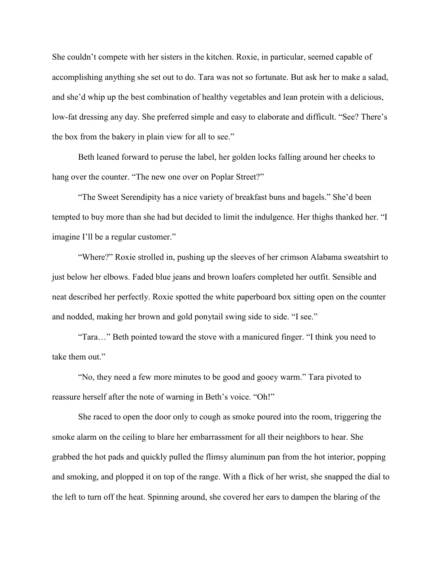She couldn't compete with her sisters in the kitchen. Roxie, in particular, seemed capable of accomplishing anything she set out to do. Tara was not so fortunate. But ask her to make a salad, and she'd whip up the best combination of healthy vegetables and lean protein with a delicious, low-fat dressing any day. She preferred simple and easy to elaborate and difficult. "See? There's the box from the bakery in plain view for all to see."

Beth leaned forward to peruse the label, her golden locks falling around her cheeks to hang over the counter. "The new one over on Poplar Street?"

"The Sweet Serendipity has a nice variety of breakfast buns and bagels." She'd been tempted to buy more than she had but decided to limit the indulgence. Her thighs thanked her. "I imagine I'll be a regular customer."

"Where?" Roxie strolled in, pushing up the sleeves of her crimson Alabama sweatshirt to just below her elbows. Faded blue jeans and brown loafers completed her outfit. Sensible and neat described her perfectly. Roxie spotted the white paperboard box sitting open on the counter and nodded, making her brown and gold ponytail swing side to side. "I see."

"Tara…" Beth pointed toward the stove with a manicured finger. "I think you need to take them out."

"No, they need a few more minutes to be good and gooey warm." Tara pivoted to reassure herself after the note of warning in Beth's voice. "Oh!"

She raced to open the door only to cough as smoke poured into the room, triggering the smoke alarm on the ceiling to blare her embarrassment for all their neighbors to hear. She grabbed the hot pads and quickly pulled the flimsy aluminum pan from the hot interior, popping and smoking, and plopped it on top of the range. With a flick of her wrist, she snapped the dial to the left to turn off the heat. Spinning around, she covered her ears to dampen the blaring of the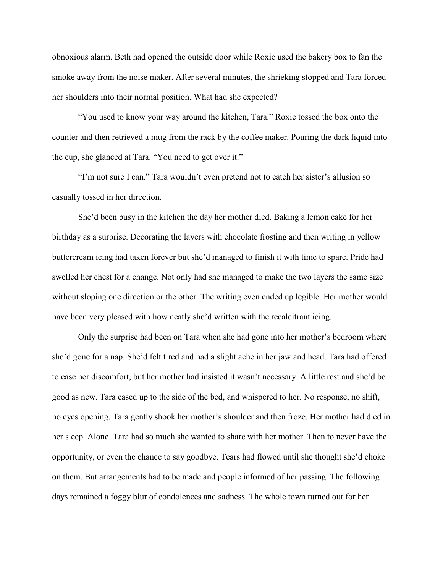obnoxious alarm. Beth had opened the outside door while Roxie used the bakery box to fan the smoke away from the noise maker. After several minutes, the shrieking stopped and Tara forced her shoulders into their normal position. What had she expected?

"You used to know your way around the kitchen, Tara." Roxie tossed the box onto the counter and then retrieved a mug from the rack by the coffee maker. Pouring the dark liquid into the cup, she glanced at Tara. "You need to get over it."

"I'm not sure I can." Tara wouldn't even pretend not to catch her sister's allusion so casually tossed in her direction.

She'd been busy in the kitchen the day her mother died. Baking a lemon cake for her birthday as a surprise. Decorating the layers with chocolate frosting and then writing in yellow buttercream icing had taken forever but she'd managed to finish it with time to spare. Pride had swelled her chest for a change. Not only had she managed to make the two layers the same size without sloping one direction or the other. The writing even ended up legible. Her mother would have been very pleased with how neatly she'd written with the recalcitrant icing.

Only the surprise had been on Tara when she had gone into her mother's bedroom where she'd gone for a nap. She'd felt tired and had a slight ache in her jaw and head. Tara had offered to ease her discomfort, but her mother had insisted it wasn't necessary. A little rest and she'd be good as new. Tara eased up to the side of the bed, and whispered to her. No response, no shift, no eyes opening. Tara gently shook her mother's shoulder and then froze. Her mother had died in her sleep. Alone. Tara had so much she wanted to share with her mother. Then to never have the opportunity, or even the chance to say goodbye. Tears had flowed until she thought she'd choke on them. But arrangements had to be made and people informed of her passing. The following days remained a foggy blur of condolences and sadness. The whole town turned out for her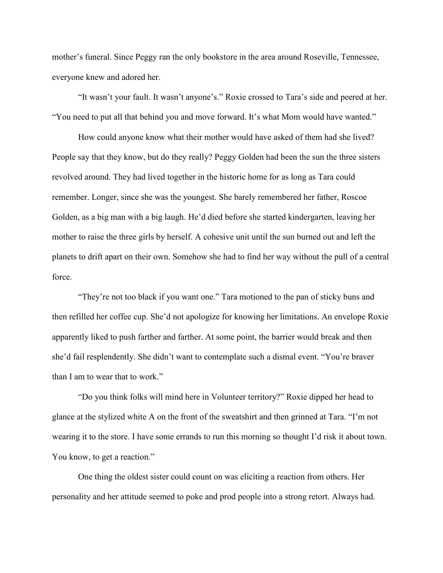mother's funeral. Since Peggy ran the only bookstore in the area around Roseville, Tennessee, everyone knew and adored her.

"It wasn't your fault. It wasn't anyone's." Roxie crossed to Tara's side and peered at her. "You need to put all that behind you and move forward. It's what Mom would have wanted."

How could anyone know what their mother would have asked of them had she lived? People say that they know, but do they really? Peggy Golden had been the sun the three sisters revolved around. They had lived together in the historic home for as long as Tara could remember. Longer, since she was the youngest. She barely remembered her father, Roscoe Golden, as a big man with a big laugh. He'd died before she started kindergarten, leaving her mother to raise the three girls by herself. A cohesive unit until the sun burned out and left the planets to drift apart on their own. Somehow she had to find her way without the pull of a central force.

"They're not too black if you want one." Tara motioned to the pan of sticky buns and then refilled her coffee cup. She'd not apologize for knowing her limitations. An envelope Roxie apparently liked to push farther and farther. At some point, the barrier would break and then she'd fail resplendently. She didn't want to contemplate such a dismal event. "You're braver than I am to wear that to work."

"Do you think folks will mind here in Volunteer territory?" Roxie dipped her head to glance at the stylized white A on the front of the sweatshirt and then grinned at Tara. "I'm not wearing it to the store. I have some errands to run this morning so thought I'd risk it about town. You know, to get a reaction."

One thing the oldest sister could count on was eliciting a reaction from others. Her personality and her attitude seemed to poke and prod people into a strong retort. Always had.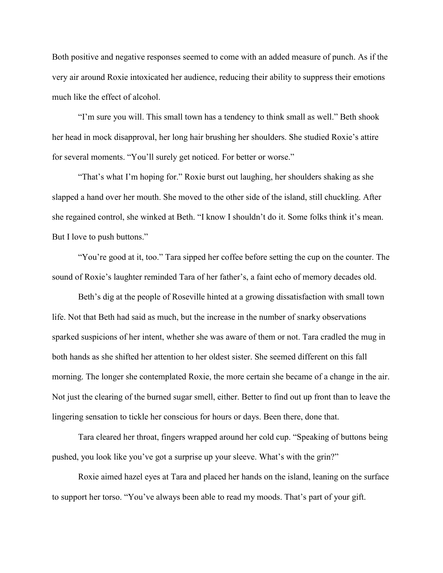Both positive and negative responses seemed to come with an added measure of punch. As if the very air around Roxie intoxicated her audience, reducing their ability to suppress their emotions much like the effect of alcohol.

"I'm sure you will. This small town has a tendency to think small as well." Beth shook her head in mock disapproval, her long hair brushing her shoulders. She studied Roxie's attire for several moments. "You'll surely get noticed. For better or worse."

"That's what I'm hoping for." Roxie burst out laughing, her shoulders shaking as she slapped a hand over her mouth. She moved to the other side of the island, still chuckling. After she regained control, she winked at Beth. "I know I shouldn't do it. Some folks think it's mean. But I love to push buttons."

"You're good at it, too." Tara sipped her coffee before setting the cup on the counter. The sound of Roxie's laughter reminded Tara of her father's, a faint echo of memory decades old.

Beth's dig at the people of Roseville hinted at a growing dissatisfaction with small town life. Not that Beth had said as much, but the increase in the number of snarky observations sparked suspicions of her intent, whether she was aware of them or not. Tara cradled the mug in both hands as she shifted her attention to her oldest sister. She seemed different on this fall morning. The longer she contemplated Roxie, the more certain she became of a change in the air. Not just the clearing of the burned sugar smell, either. Better to find out up front than to leave the lingering sensation to tickle her conscious for hours or days. Been there, done that.

Tara cleared her throat, fingers wrapped around her cold cup. "Speaking of buttons being pushed, you look like you've got a surprise up your sleeve. What's with the grin?"

Roxie aimed hazel eyes at Tara and placed her hands on the island, leaning on the surface to support her torso. "You've always been able to read my moods. That's part of your gift.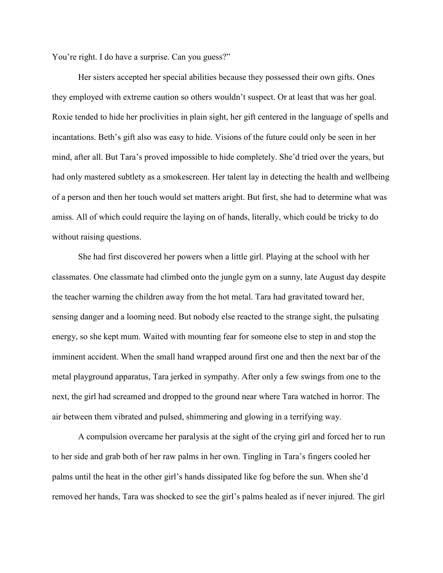You're right. I do have a surprise. Can you guess?"

Her sisters accepted her special abilities because they possessed their own gifts. Ones they employed with extreme caution so others wouldn't suspect. Or at least that was her goal. Roxie tended to hide her proclivities in plain sight, her gift centered in the language of spells and incantations. Beth's gift also was easy to hide. Visions of the future could only be seen in her mind, after all. But Tara's proved impossible to hide completely. She'd tried over the years, but had only mastered subtlety as a smokescreen. Her talent lay in detecting the health and wellbeing of a person and then her touch would set matters aright. But first, she had to determine what was amiss. All of which could require the laying on of hands, literally, which could be tricky to do without raising questions.

She had first discovered her powers when a little girl. Playing at the school with her classmates. One classmate had climbed onto the jungle gym on a sunny, late August day despite the teacher warning the children away from the hot metal. Tara had gravitated toward her, sensing danger and a looming need. But nobody else reacted to the strange sight, the pulsating energy, so she kept mum. Waited with mounting fear for someone else to step in and stop the imminent accident. When the small hand wrapped around first one and then the next bar of the metal playground apparatus, Tara jerked in sympathy. After only a few swings from one to the next, the girl had screamed and dropped to the ground near where Tara watched in horror. The air between them vibrated and pulsed, shimmering and glowing in a terrifying way.

A compulsion overcame her paralysis at the sight of the crying girl and forced her to run to her side and grab both of her raw palms in her own. Tingling in Tara's fingers cooled her palms until the heat in the other girl's hands dissipated like fog before the sun. When she'd removed her hands, Tara was shocked to see the girl's palms healed as if never injured. The girl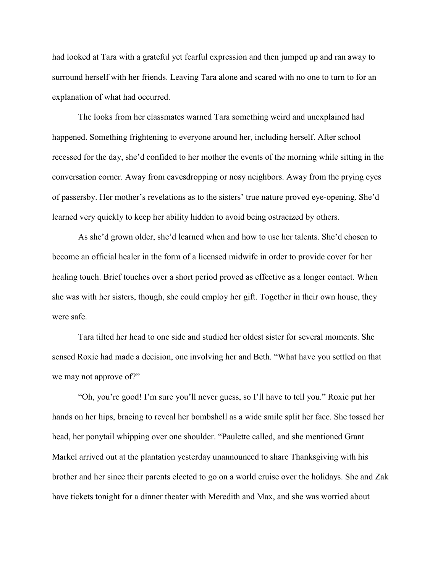had looked at Tara with a grateful yet fearful expression and then jumped up and ran away to surround herself with her friends. Leaving Tara alone and scared with no one to turn to for an explanation of what had occurred.

The looks from her classmates warned Tara something weird and unexplained had happened. Something frightening to everyone around her, including herself. After school recessed for the day, she'd confided to her mother the events of the morning while sitting in the conversation corner. Away from eavesdropping or nosy neighbors. Away from the prying eyes of passersby. Her mother's revelations as to the sisters' true nature proved eye-opening. She'd learned very quickly to keep her ability hidden to avoid being ostracized by others.

As she'd grown older, she'd learned when and how to use her talents. She'd chosen to become an official healer in the form of a licensed midwife in order to provide cover for her healing touch. Brief touches over a short period proved as effective as a longer contact. When she was with her sisters, though, she could employ her gift. Together in their own house, they were safe.

Tara tilted her head to one side and studied her oldest sister for several moments. She sensed Roxie had made a decision, one involving her and Beth. "What have you settled on that we may not approve of?"

"Oh, you're good! I'm sure you'll never guess, so I'll have to tell you." Roxie put her hands on her hips, bracing to reveal her bombshell as a wide smile split her face. She tossed her head, her ponytail whipping over one shoulder. "Paulette called, and she mentioned Grant Markel arrived out at the plantation yesterday unannounced to share Thanksgiving with his brother and her since their parents elected to go on a world cruise over the holidays. She and Zak have tickets tonight for a dinner theater with Meredith and Max, and she was worried about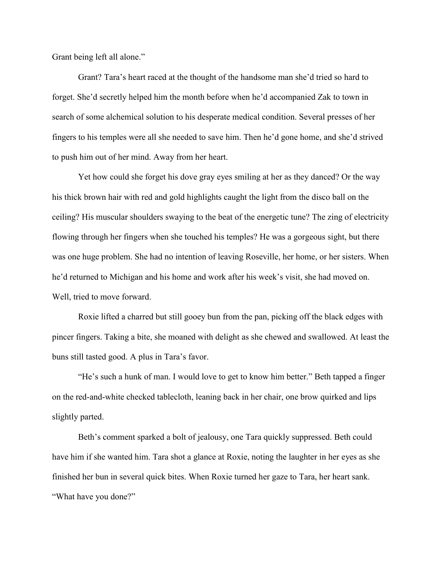Grant being left all alone."

Grant? Tara's heart raced at the thought of the handsome man she'd tried so hard to forget. She'd secretly helped him the month before when he'd accompanied Zak to town in search of some alchemical solution to his desperate medical condition. Several presses of her fingers to his temples were all she needed to save him. Then he'd gone home, and she'd strived to push him out of her mind. Away from her heart.

Yet how could she forget his dove gray eyes smiling at her as they danced? Or the way his thick brown hair with red and gold highlights caught the light from the disco ball on the ceiling? His muscular shoulders swaying to the beat of the energetic tune? The zing of electricity flowing through her fingers when she touched his temples? He was a gorgeous sight, but there was one huge problem. She had no intention of leaving Roseville, her home, or her sisters. When he'd returned to Michigan and his home and work after his week's visit, she had moved on. Well, tried to move forward.

Roxie lifted a charred but still gooey bun from the pan, picking off the black edges with pincer fingers. Taking a bite, she moaned with delight as she chewed and swallowed. At least the buns still tasted good. A plus in Tara's favor.

"He's such a hunk of man. I would love to get to know him better." Beth tapped a finger on the red-and-white checked tablecloth, leaning back in her chair, one brow quirked and lips slightly parted.

Beth's comment sparked a bolt of jealousy, one Tara quickly suppressed. Beth could have him if she wanted him. Tara shot a glance at Roxie, noting the laughter in her eyes as she finished her bun in several quick bites. When Roxie turned her gaze to Tara, her heart sank. "What have you done?"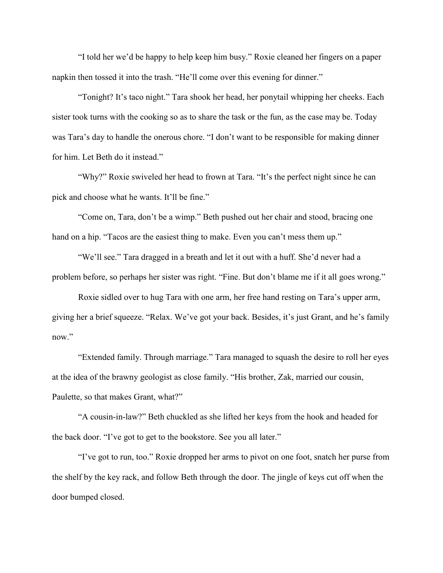"I told her we'd be happy to help keep him busy." Roxie cleaned her fingers on a paper napkin then tossed it into the trash. "He'll come over this evening for dinner."

"Tonight? It's taco night." Tara shook her head, her ponytail whipping her cheeks. Each sister took turns with the cooking so as to share the task or the fun, as the case may be. Today was Tara's day to handle the onerous chore. "I don't want to be responsible for making dinner for him. Let Beth do it instead."

"Why?" Roxie swiveled her head to frown at Tara. "It's the perfect night since he can pick and choose what he wants. It'll be fine."

"Come on, Tara, don't be a wimp." Beth pushed out her chair and stood, bracing one hand on a hip. "Tacos are the easiest thing to make. Even you can't mess them up."

"We'll see." Tara dragged in a breath and let it out with a huff. She'd never had a problem before, so perhaps her sister was right. "Fine. But don't blame me if it all goes wrong."

Roxie sidled over to hug Tara with one arm, her free hand resting on Tara's upper arm, giving her a brief squeeze. "Relax. We've got your back. Besides, it's just Grant, and he's family now."

"Extended family. Through marriage." Tara managed to squash the desire to roll her eyes at the idea of the brawny geologist as close family. "His brother, Zak, married our cousin, Paulette, so that makes Grant, what?"

"A cousin-in-law?" Beth chuckled as she lifted her keys from the hook and headed for the back door. "I've got to get to the bookstore. See you all later."

"I've got to run, too." Roxie dropped her arms to pivot on one foot, snatch her purse from the shelf by the key rack, and follow Beth through the door. The jingle of keys cut off when the door bumped closed.